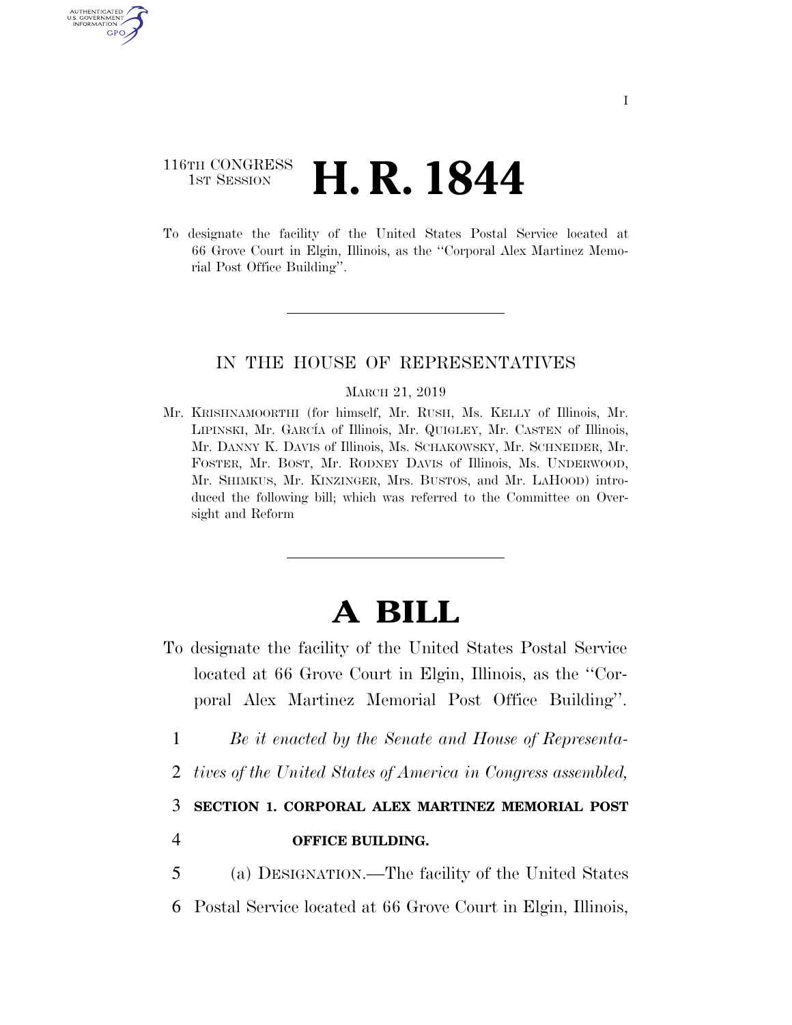# 116TH CONGRESS <sup>TH CONGRESS</sup> **H. R. 1844**

**AUTHENTICATE** U.S. GOVERNMENT GPO

> To designate the facility of the United States Postal Service located at 66 Grove Court in Elgin, Illinois, as the ''Corporal Alex Martinez Memorial Post Office Building''.

### IN THE HOUSE OF REPRESENTATIVES

#### MARCH 21, 2019

Mr. KRISHNAMOORTHI (for himself, Mr. RUSH, Ms. KELLY of Illinois, Mr. LIPINSKI, Mr. GARCÍA of Illinois, Mr. QUIGLEY, Mr. CASTEN of Illinois, Mr. DANNY K. DAVIS of Illinois, Ms. SCHAKOWSKY, Mr. SCHNEIDER, Mr. FOSTER, Mr. BOST, Mr. RODNEY DAVIS of Illinois, Ms. UNDERWOOD, Mr. SHIMKUS, Mr. KINZINGER, Mrs. BUSTOS, and Mr. LAHOOD) introduced the following bill; which was referred to the Committee on Oversight and Reform

# **A BILL**

- To designate the facility of the United States Postal Service located at 66 Grove Court in Elgin, Illinois, as the ''Corporal Alex Martinez Memorial Post Office Building''.
	- 1 *Be it enacted by the Senate and House of Representa-*
	- 2 *tives of the United States of America in Congress assembled,*

3 **SECTION 1. CORPORAL ALEX MARTINEZ MEMORIAL POST** 

## 4 **OFFICE BUILDING.**

5 (a) DESIGNATION.—The facility of the United States

6 Postal Service located at 66 Grove Court in Elgin, Illinois,